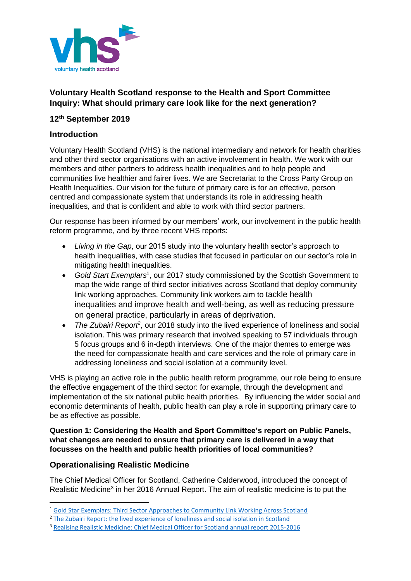

# **Voluntary Health Scotland response to the Health and Sport Committee Inquiry: What should primary care look like for the next generation?**

## **12th September 2019**

## **Introduction**

Voluntary Health Scotland (VHS) is the national intermediary and network for health charities and other third sector organisations with an active involvement in health. We work with our members and other partners to address health inequalities and to help people and communities live healthier and fairer lives. We are Secretariat to the Cross Party Group on Health Inequalities. Our vision for the future of primary care is for an effective, person centred and compassionate system that understands its role in addressing health inequalities, and that is confident and able to work with third sector partners.

Our response has been informed by our members' work, our involvement in the public health reform programme, and by three recent VHS reports:

- *Living in the Gap*, our 2015 study into the voluntary health sector's approach to health inequalities, with case studies that focused in particular on our sector's role in mitigating health inequalities.
- Gold Start Exemplars<sup>1</sup>, our 2017 study commissioned by the Scottish Government to map the wide range of third sector initiatives across Scotland that deploy community link working approaches. Community link workers aim to tackle health inequalities and improve health and well-being, as well as reducing pressure on general practice, particularly in areas of deprivation.
- The Zubairi Report<sup>2</sup>, our 2018 study into the lived experience of loneliness and social isolation. This was primary research that involved speaking to 57 individuals through 5 focus groups and 6 in-depth interviews. One of the major themes to emerge was the need for compassionate health and care services and the role of primary care in addressing loneliness and social isolation at a community level.

VHS is playing an active role in the public health reform programme, our role being to ensure the effective engagement of the third sector: for example, through the development and implementation of the six national public health priorities. By influencing the wider social and economic determinants of health, public health can play a role in supporting primary care to be as effective as possible.

#### **Question 1: Considering the Health and Sport Committee's report on Public Panels, what changes are needed to ensure that primary care is delivered in a way that focusses on the health and public health priorities of local communities?**

## **Operationalising Realistic Medicine**

**.** 

The Chief Medical Officer for Scotland, Catherine Calderwood, introduced the concept of Realistic Medicine<sup>3</sup> in her 2016 Annual Report. The aim of realistic medicine is to put the

<sup>1</sup> [Gold Star Exemplars: Third Sector Approaches to Community Link Working Across Scotland](http://vhscotland.org.uk/wp-content/uploads/2017/06/Gold_Star_Exemplars_Full-Report_June_2017.pdf)

<sup>&</sup>lt;sup>2</sup> [The Zubairi Report: the lived experience of loneliness and social isolation in Scotland](https://vhscotland.org.uk/wp-content/uploads/2018/11/The-Zubairi-Report-VHS-Nov-2018.pdf)

<sup>3</sup> [Realising Realistic Medicine: Chief Medical Officer for Scotland annual report 2015-2016](https://www.gov.scot/publications/chief-medical-officer-scotland-annual-report-2015-16-realising-realistic-9781786526731/)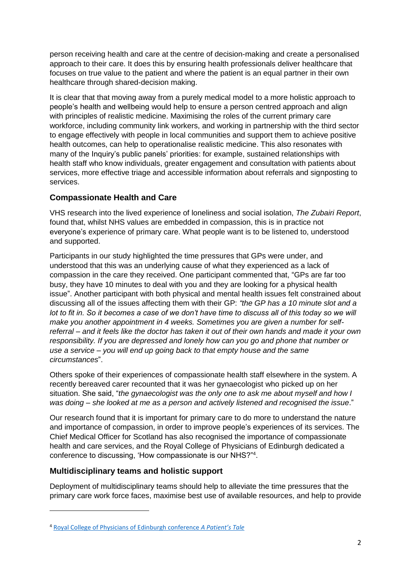person receiving health and care at the centre of decision-making and create a personalised approach to their care. It does this by ensuring health professionals deliver healthcare that focuses on true value to the patient and where the patient is an equal partner in their own healthcare through shared-decision making.

It is clear that that moving away from a purely medical model to a more holistic approach to people's health and wellbeing would help to ensure a person centred approach and align with principles of realistic medicine. Maximising the roles of the current primary care workforce, including community link workers, and working in partnership with the third sector to engage effectively with people in local communities and support them to achieve positive health outcomes, can help to operationalise realistic medicine. This also resonates with many of the Inquiry's public panels' priorities: for example, sustained relationships with health staff who know individuals, greater engagement and consultation with patients about services, more effective triage and accessible information about referrals and signposting to services.

# **Compassionate Health and Care**

VHS research into the lived experience of loneliness and social isolation, *The Zubairi Report*, found that, whilst NHS values are embedded in compassion, this is in practice not everyone's experience of primary care. What people want is to be listened to, understood and supported.

Participants in our study highlighted the time pressures that GPs were under, and understood that this was an underlying cause of what they experienced as a lack of compassion in the care they received. One participant commented that, "GPs are far too busy, they have 10 minutes to deal with you and they are looking for a physical health issue". Another participant with both physical and mental health issues felt constrained about discussing all of the issues affecting them with their GP: *"the GP has a 10 minute slot and a*  lot to fit in. So it becomes a case of we don't have time to discuss all of this today so we will *make you another appointment in 4 weeks. Sometimes you are given a number for selfreferral – and it feels like the doctor has taken it out of their own hands and made it your own responsibility. If you are depressed and lonely how can you go and phone that number or use a service – you will end up going back to that empty house and the same circumstances*".

Others spoke of their experiences of compassionate health staff elsewhere in the system. A recently bereaved carer recounted that it was her gynaecologist who picked up on her situation. She said, "*the gynaecologist was the only one to ask me about myself and how I was doing – she looked at me as a person and actively listened and recognised the issue*."

Our research found that it is important for primary care to do more to understand the nature and importance of compassion, in order to improve people's experiences of its services. The Chief Medical Officer for Scotland has also recognised the importance of compassionate health and care services, and the Royal College of Physicians of Edinburgh dedicated a conference to discussing, 'How compassionate is our NHS?"<sup>4</sup> .

## **Multidisciplinary teams and holistic support**

 $\overline{a}$ 

Deployment of multidisciplinary teams should help to alleviate the time pressures that the primary care work force faces, maximise best use of available resources, and help to provide

<sup>4</sup> [Royal College of Physicians of Edinburgh conference](https://www.rcpe.ac.uk/sites/default/files/reports/final-report.pdf) *A Patient's Tale*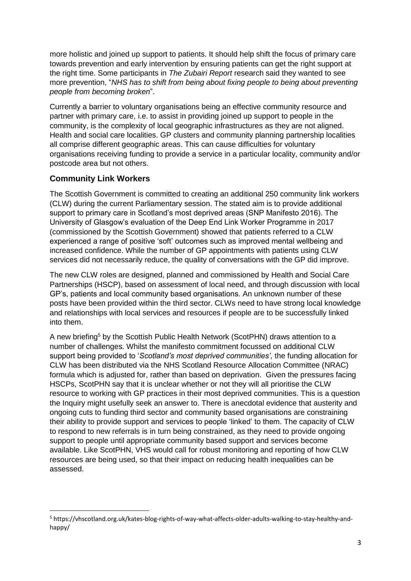more holistic and joined up support to patients. It should help shift the focus of primary care towards prevention and early intervention by ensuring patients can get the right support at the right time. Some participants in *The Zubairi Report* research said they wanted to see more prevention, "*NHS has to shift from being about fixing people to being about preventing people from becoming broken*".

Currently a barrier to voluntary organisations being an effective community resource and partner with primary care, i.e. to assist in providing joined up support to people in the community, is the complexity of local geographic infrastructures as they are not aligned. Health and social care localities. GP clusters and community planning partnership localities all comprise different geographic areas. This can cause difficulties for voluntary organisations receiving funding to provide a service in a particular locality, community and/or postcode area but not others.

## **Community Link Workers**

 $\overline{a}$ 

The Scottish Government is committed to creating an additional 250 community link workers (CLW) during the current Parliamentary session. The stated aim is to provide additional support to primary care in Scotland's most deprived areas (SNP Manifesto 2016). The University of Glasgow's evaluation of the Deep End Link Worker Programme in 2017 (commissioned by the Scottish Government) showed that patients referred to a CLW experienced a range of positive 'soft' outcomes such as improved mental wellbeing and increased confidence. While the number of GP appointments with patients using CLW services did not necessarily reduce, the quality of conversations with the GP did improve.

The new CLW roles are designed, planned and commissioned by Health and Social Care Partnerships (HSCP), based on assessment of local need, and through discussion with local GP's, patients and local community based organisations. An unknown number of these posts have been provided within the third sector. CLWs need to have strong local knowledge and relationships with local services and resources if people are to be successfully linked into them.

A new briefing<sup>5</sup> by the Scottish Public Health Network (ScotPHN) draws attention to a number of challenges. Whilst the manifesto commitment focussed on additional CLW support being provided to '*Scotland's most deprived communities'*, the funding allocation for CLW has been distributed via the NHS Scotland Resource Allocation Committee (NRAC) formula which is adjusted for, rather than based on deprivation. Given the pressures facing HSCPs, ScotPHN say that it is unclear whether or not they will all prioritise the CLW resource to working with GP practices in their most deprived communities. This is a question the Inquiry might usefully seek an answer to. There is anecdotal evidence that austerity and ongoing cuts to funding third sector and community based organisations are constraining their ability to provide support and services to people 'linked' to them. The capacity of CLW to respond to new referrals is in turn being constrained, as they need to provide ongoing support to people until appropriate community based support and services become available. Like ScotPHN, VHS would call for robust monitoring and reporting of how CLW resources are being used, so that their impact on reducing health inequalities can be assessed.

<sup>5</sup> https://vhscotland.org.uk/kates-blog-rights-of-way-what-affects-older-adults-walking-to-stay-healthy-andhappy/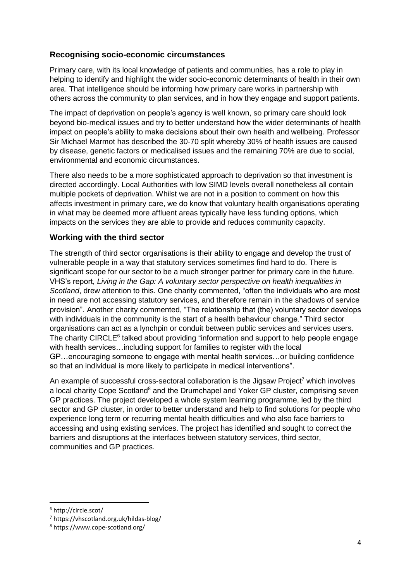# **Recognising socio-economic circumstances**

Primary care, with its local knowledge of patients and communities, has a role to play in helping to identify and highlight the wider socio-economic determinants of health in their own area. That intelligence should be informing how primary care works in partnership with others across the community to plan services, and in how they engage and support patients.

The impact of deprivation on people's agency is well known, so primary care should look beyond bio-medical issues and try to better understand how the wider determinants of health impact on people's ability to make decisions about their own health and wellbeing. Professor Sir Michael Marmot has described the 30-70 split whereby 30% of health issues are caused by disease, genetic factors or medicalised issues and the remaining 70% are due to social, environmental and economic circumstances.

There also needs to be a more sophisticated approach to deprivation so that investment is directed accordingly. Local Authorities with low SIMD levels overall nonetheless all contain multiple pockets of deprivation. Whilst we are not in a position to comment on how this affects investment in primary care, we do know that voluntary health organisations operating in what may be deemed more affluent areas typically have less funding options, which impacts on the services they are able to provide and reduces community capacity.

## **Working with the third sector**

The strength of third sector organisations is their ability to engage and develop the trust of vulnerable people in a way that statutory services sometimes find hard to do. There is significant scope for our sector to be a much stronger partner for primary care in the future. VHS's report, *Living in the Gap: A voluntary sector perspective on health inequalities in Scotland*, drew attention to this. One charity commented, "often the individuals who are most in need are not accessing statutory services, and therefore remain in the shadows of service provision". Another charity commented, "The relationship that (the) voluntary sector develops with individuals in the community is the start of a health behaviour change." Third sector organisations can act as a lynchpin or conduit between public services and services users. The charity CIRCLE<sup>6</sup> talked about providing "information and support to help people engage with health services…including support for families to register with the local GP…encouraging someone to engage with mental health services…or building confidence so that an individual is more likely to participate in medical interventions".

An example of successful cross-sectoral collaboration is the Jigsaw Project<sup>7</sup> which involves a local charity Cope Scotland<sup>8</sup> and the Drumchapel and Yoker GP cluster, comprising seven GP practices. The project developed a whole system learning programme, led by the third sector and GP cluster, in order to better understand and help to find solutions for people who experience long term or recurring mental health difficulties and who also face barriers to accessing and using existing services. The project has identified and sought to correct the barriers and disruptions at the interfaces between statutory services, third sector, communities and GP practices.

**.** 

<sup>6</sup> http://circle.scot/

<sup>7</sup> https://vhscotland.org.uk/hildas-blog/

<sup>8</sup> https://www.cope-scotland.org/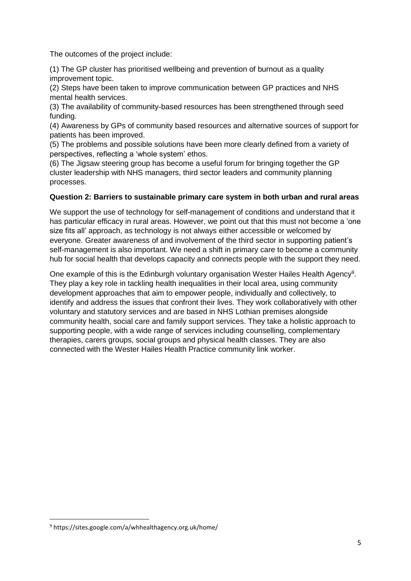The outcomes of the project include:

(1) The GP cluster has prioritised wellbeing and prevention of burnout as a quality improvement topic.

(2) Steps have been taken to improve communication between GP practices and NHS mental health services.

(3) The availability of community-based resources has been strengthened through seed funding.

(4) Awareness by GPs of community based resources and alternative sources of support for patients has been improved.

(5) The problems and possible solutions have been more clearly defined from a variety of perspectives, reflecting a 'whole system' ethos.

(6) The Jigsaw steering group has become a useful forum for bringing together the GP cluster leadership with NHS managers, third sector leaders and community planning processes.

#### **Question 2: Barriers to sustainable primary care system in both urban and rural areas**

We support the use of technology for self-management of conditions and understand that it has particular efficacy in rural areas. However, we point out that this must not become a 'one size fits all' approach, as technology is not always either accessible or welcomed by everyone. Greater awareness of and involvement of the third sector in supporting patient's self-management is also important. We need a shift in primary care to become a community hub for social health that develops capacity and connects people with the support they need.

One example of this is the Edinburgh voluntary organisation Wester Hailes Health Agency<sup>9</sup>. They play a key role in tackling health inequalities in their local area, using community development approaches that aim to empower people, individually and collectively, to identify and address the issues that confront their lives. They work collaboratively with other voluntary and statutory services and are based in NHS Lothian premises alongside community health, social care and family support services. They take a holistic approach to supporting people, with a wide range of services including counselling, complementary therapies, carers groups, social groups and physical health classes. They are also connected with the Wester Hailes Health Practice community link worker.

**.** 

<sup>9</sup> https://sites.google.com/a/whhealthagency.org.uk/home/